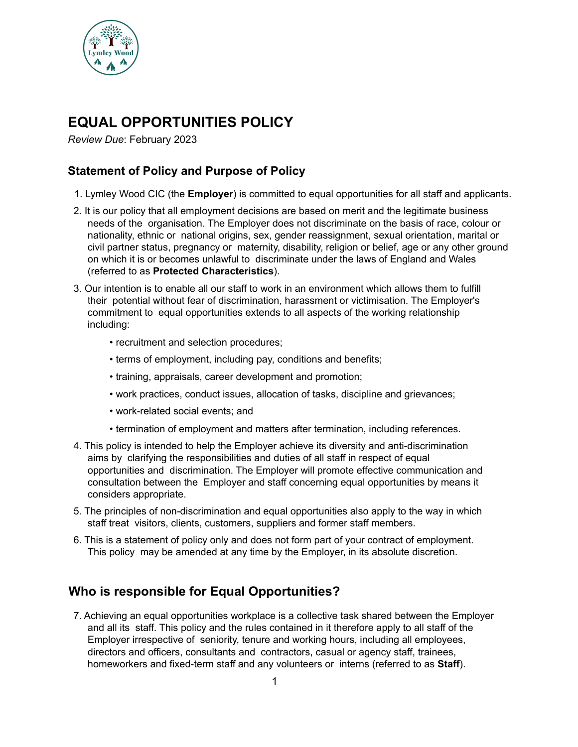

# **EQUAL OPPORTUNITIES POLICY**

*Review Due*: February 2023

### **Statement of Policy and Purpose of Policy**

- 1. Lymley Wood CIC (the **Employer**) is committed to equal opportunities for all staff and applicants.
- 2. It is our policy that all employment decisions are based on merit and the legitimate business needs of the organisation. The Employer does not discriminate on the basis of race, colour or nationality, ethnic or national origins, sex, gender reassignment, sexual orientation, marital or civil partner status, pregnancy or maternity, disability, religion or belief, age or any other ground on which it is or becomes unlawful to discriminate under the laws of England and Wales (referred to as **Protected Characteristics**).
- 3. Our intention is to enable all our staff to work in an environment which allows them to fulfill their potential without fear of discrimination, harassment or victimisation. The Employer's commitment to equal opportunities extends to all aspects of the working relationship including:
	- recruitment and selection procedures;
	- terms of employment, including pay, conditions and benefits;
	- training, appraisals, career development and promotion;
	- work practices, conduct issues, allocation of tasks, discipline and grievances;
	- work-related social events; and
	- termination of employment and matters after termination, including references.
- 4. This policy is intended to help the Employer achieve its diversity and anti-discrimination aims by clarifying the responsibilities and duties of all staff in respect of equal opportunities and discrimination. The Employer will promote effective communication and consultation between the Employer and staff concerning equal opportunities by means it considers appropriate.
- 5. The principles of non-discrimination and equal opportunities also apply to the way in which staff treat visitors, clients, customers, suppliers and former staff members.
- 6. This is a statement of policy only and does not form part of your contract of employment. This policy may be amended at any time by the Employer, in its absolute discretion.

### **Who is responsible for Equal Opportunities?**

7. Achieving an equal opportunities workplace is a collective task shared between the Employer and all its staff. This policy and the rules contained in it therefore apply to all staff of the Employer irrespective of seniority, tenure and working hours, including all employees, directors and officers, consultants and contractors, casual or agency staff, trainees, homeworkers and fixed-term staff and any volunteers or interns (referred to as **Staff**).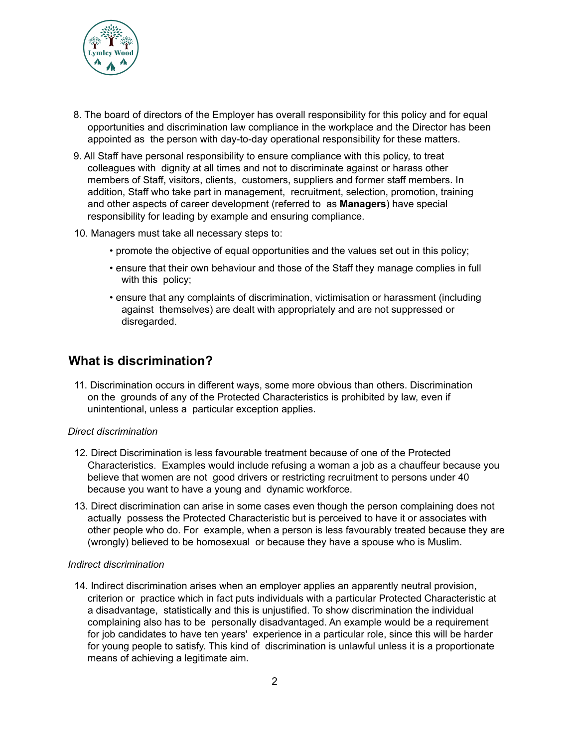

- 8. The board of directors of the Employer has overall responsibility for this policy and for equal opportunities and discrimination law compliance in the workplace and the Director has been appointed as the person with day-to-day operational responsibility for these matters.
- 9. All Staff have personal responsibility to ensure compliance with this policy, to treat colleagues with dignity at all times and not to discriminate against or harass other members of Staff, visitors, clients, customers, suppliers and former staff members. In addition, Staff who take part in management, recruitment, selection, promotion, training and other aspects of career development (referred to as **Managers**) have special responsibility for leading by example and ensuring compliance.
- 10. Managers must take all necessary steps to:
	- promote the objective of equal opportunities and the values set out in this policy;
	- ensure that their own behaviour and those of the Staff they manage complies in full with this policy;
	- ensure that any complaints of discrimination, victimisation or harassment (including against themselves) are dealt with appropriately and are not suppressed or disregarded.

### **What is discrimination?**

11. Discrimination occurs in different ways, some more obvious than others. Discrimination on the grounds of any of the Protected Characteristics is prohibited by law, even if unintentional, unless a particular exception applies.

### *Direct discrimination*

- 12. Direct Discrimination is less favourable treatment because of one of the Protected Characteristics. Examples would include refusing a woman a job as a chauffeur because you believe that women are not good drivers or restricting recruitment to persons under 40 because you want to have a young and dynamic workforce.
- 13. Direct discrimination can arise in some cases even though the person complaining does not actually possess the Protected Characteristic but is perceived to have it or associates with other people who do. For example, when a person is less favourably treated because they are (wrongly) believed to be homosexual or because they have a spouse who is Muslim.

### *Indirect discrimination*

14. Indirect discrimination arises when an employer applies an apparently neutral provision, criterion or practice which in fact puts individuals with a particular Protected Characteristic at a disadvantage, statistically and this is unjustified. To show discrimination the individual complaining also has to be personally disadvantaged. An example would be a requirement for job candidates to have ten years' experience in a particular role, since this will be harder for young people to satisfy. This kind of discrimination is unlawful unless it is a proportionate means of achieving a legitimate aim.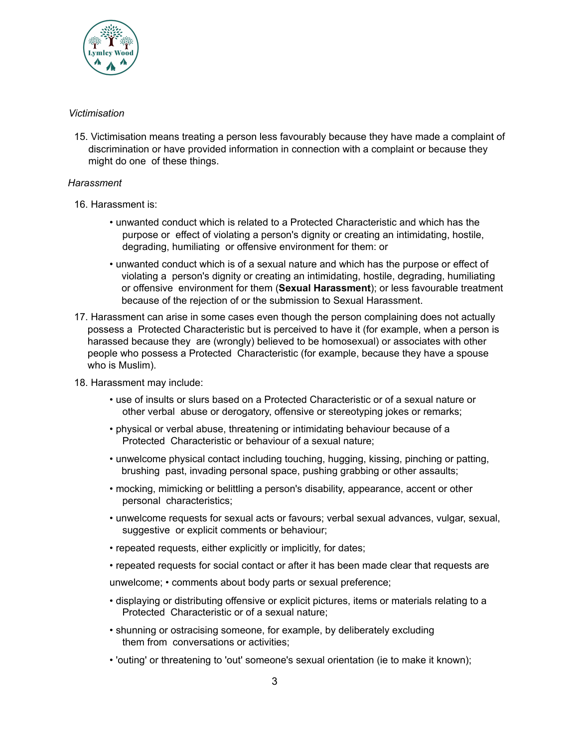

### *Victimisation*

15. Victimisation means treating a person less favourably because they have made a complaint of discrimination or have provided information in connection with a complaint or because they might do one of these things.

### *Harassment*

- 16. Harassment is:
	- unwanted conduct which is related to a Protected Characteristic and which has the purpose or effect of violating a person's dignity or creating an intimidating, hostile, degrading, humiliating or offensive environment for them: or
	- unwanted conduct which is of a sexual nature and which has the purpose or effect of violating a person's dignity or creating an intimidating, hostile, degrading, humiliating or offensive environment for them (**Sexual Harassment**); or less favourable treatment because of the rejection of or the submission to Sexual Harassment.
- 17. Harassment can arise in some cases even though the person complaining does not actually possess a Protected Characteristic but is perceived to have it (for example, when a person is harassed because they are (wrongly) believed to be homosexual) or associates with other people who possess a Protected Characteristic (for example, because they have a spouse who is Muslim).
- 18. Harassment may include:
	- use of insults or slurs based on a Protected Characteristic or of a sexual nature or other verbal abuse or derogatory, offensive or stereotyping jokes or remarks;
	- physical or verbal abuse, threatening or intimidating behaviour because of a Protected Characteristic or behaviour of a sexual nature;
	- unwelcome physical contact including touching, hugging, kissing, pinching or patting, brushing past, invading personal space, pushing grabbing or other assaults;
	- mocking, mimicking or belittling a person's disability, appearance, accent or other personal characteristics;
	- unwelcome requests for sexual acts or favours; verbal sexual advances, vulgar, sexual, suggestive or explicit comments or behaviour;
	- repeated requests, either explicitly or implicitly, for dates;
	- repeated requests for social contact or after it has been made clear that requests are

unwelcome; • comments about body parts or sexual preference;

- displaying or distributing offensive or explicit pictures, items or materials relating to a Protected Characteristic or of a sexual nature;
- shunning or ostracising someone, for example, by deliberately excluding them from conversations or activities;
- 'outing' or threatening to 'out' someone's sexual orientation (ie to make it known);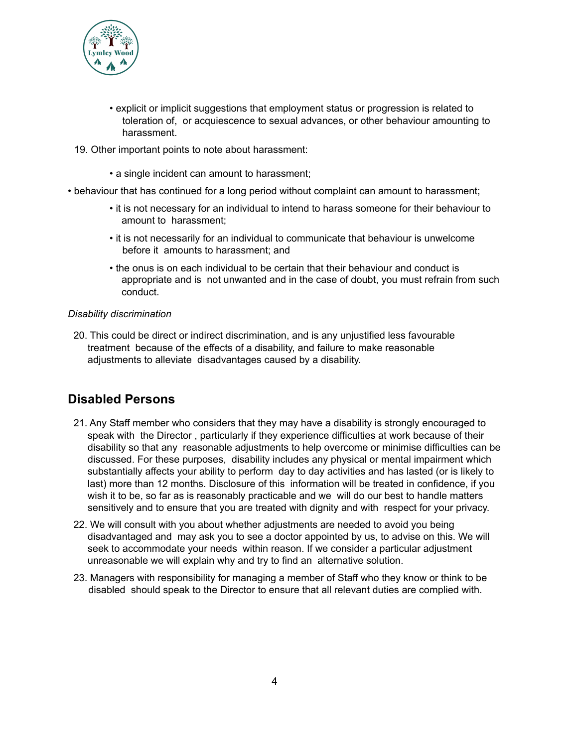

- explicit or implicit suggestions that employment status or progression is related to toleration of, or acquiescence to sexual advances, or other behaviour amounting to harassment.
- 19. Other important points to note about harassment:
	- a single incident can amount to harassment;
- behaviour that has continued for a long period without complaint can amount to harassment;
	- it is not necessary for an individual to intend to harass someone for their behaviour to amount to harassment;
	- it is not necessarily for an individual to communicate that behaviour is unwelcome before it amounts to harassment; and
	- the onus is on each individual to be certain that their behaviour and conduct is appropriate and is not unwanted and in the case of doubt, you must refrain from such conduct.

### *Disability discrimination*

20. This could be direct or indirect discrimination, and is any unjustified less favourable treatment because of the effects of a disability, and failure to make reasonable adjustments to alleviate disadvantages caused by a disability.

# **Disabled Persons**

- 21. Any Staff member who considers that they may have a disability is strongly encouraged to speak with the Director , particularly if they experience difficulties at work because of their disability so that any reasonable adjustments to help overcome or minimise difficulties can be discussed. For these purposes, disability includes any physical or mental impairment which substantially affects your ability to perform day to day activities and has lasted (or is likely to last) more than 12 months. Disclosure of this information will be treated in confidence, if you wish it to be, so far as is reasonably practicable and we will do our best to handle matters sensitively and to ensure that you are treated with dignity and with respect for your privacy.
- 22. We will consult with you about whether adjustments are needed to avoid you being disadvantaged and may ask you to see a doctor appointed by us, to advise on this. We will seek to accommodate your needs within reason. If we consider a particular adjustment unreasonable we will explain why and try to find an alternative solution.
- 23. Managers with responsibility for managing a member of Staff who they know or think to be disabled should speak to the Director to ensure that all relevant duties are complied with.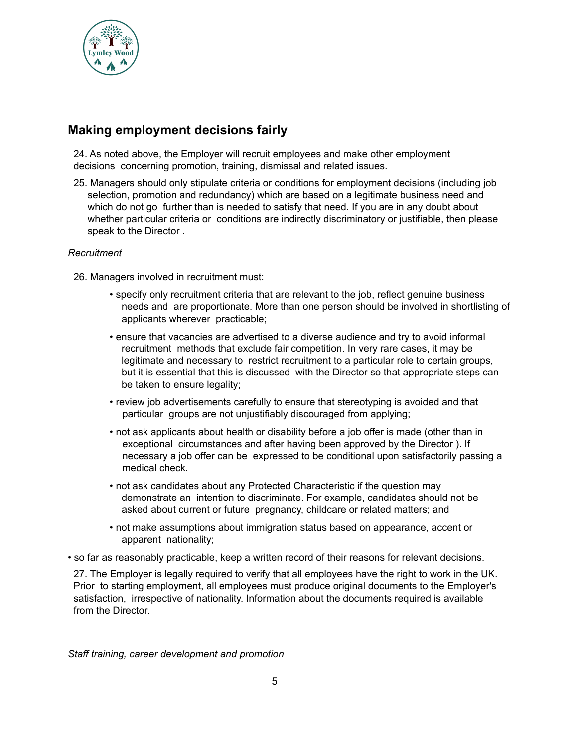

# **Making employment decisions fairly**

24. As noted above, the Employer will recruit employees and make other employment decisions concerning promotion, training, dismissal and related issues.

25. Managers should only stipulate criteria or conditions for employment decisions (including job selection, promotion and redundancy) which are based on a legitimate business need and which do not go further than is needed to satisfy that need. If you are in any doubt about whether particular criteria or conditions are indirectly discriminatory or justifiable, then please speak to the Director .

### *Recruitment*

- 26. Managers involved in recruitment must:
	- specify only recruitment criteria that are relevant to the job, reflect genuine business needs and are proportionate. More than one person should be involved in shortlisting of applicants wherever practicable;
	- ensure that vacancies are advertised to a diverse audience and try to avoid informal recruitment methods that exclude fair competition. In very rare cases, it may be legitimate and necessary to restrict recruitment to a particular role to certain groups, but it is essential that this is discussed with the Director so that appropriate steps can be taken to ensure legality;
	- review job advertisements carefully to ensure that stereotyping is avoided and that particular groups are not unjustifiably discouraged from applying;
	- not ask applicants about health or disability before a job offer is made (other than in exceptional circumstances and after having been approved by the Director ). If necessary a job offer can be expressed to be conditional upon satisfactorily passing a medical check.
	- not ask candidates about any Protected Characteristic if the question may demonstrate an intention to discriminate. For example, candidates should not be asked about current or future pregnancy, childcare or related matters; and
	- not make assumptions about immigration status based on appearance, accent or apparent nationality;
- so far as reasonably practicable, keep a written record of their reasons for relevant decisions.

27. The Employer is legally required to verify that all employees have the right to work in the UK. Prior to starting employment, all employees must produce original documents to the Employer's satisfaction, irrespective of nationality. Information about the documents required is available from the Director.

*Staff training, career development and promotion*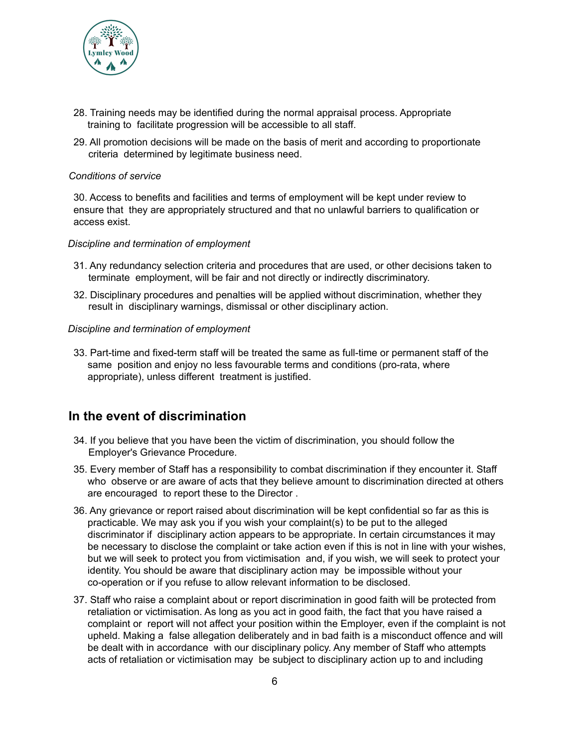

- 28. Training needs may be identified during the normal appraisal process. Appropriate training to facilitate progression will be accessible to all staff.
- 29. All promotion decisions will be made on the basis of merit and according to proportionate criteria determined by legitimate business need.

#### *Conditions of service*

30. Access to benefits and facilities and terms of employment will be kept under review to ensure that they are appropriately structured and that no unlawful barriers to qualification or access exist.

#### *Discipline and termination of employment*

- 31. Any redundancy selection criteria and procedures that are used, or other decisions taken to terminate employment, will be fair and not directly or indirectly discriminatory.
- 32. Disciplinary procedures and penalties will be applied without discrimination, whether they result in disciplinary warnings, dismissal or other disciplinary action.

#### *Discipline and termination of employment*

33. Part-time and fixed-term staff will be treated the same as full-time or permanent staff of the same position and enjoy no less favourable terms and conditions (pro-rata, where appropriate), unless different treatment is justified.

### **In the event of discrimination**

- 34. If you believe that you have been the victim of discrimination, you should follow the Employer's Grievance Procedure.
- 35. Every member of Staff has a responsibility to combat discrimination if they encounter it. Staff who observe or are aware of acts that they believe amount to discrimination directed at others are encouraged to report these to the Director .
- 36. Any grievance or report raised about discrimination will be kept confidential so far as this is practicable. We may ask you if you wish your complaint(s) to be put to the alleged discriminator if disciplinary action appears to be appropriate. In certain circumstances it may be necessary to disclose the complaint or take action even if this is not in line with your wishes, but we will seek to protect you from victimisation and, if you wish, we will seek to protect your identity. You should be aware that disciplinary action may be impossible without your co-operation or if you refuse to allow relevant information to be disclosed.
- 37. Staff who raise a complaint about or report discrimination in good faith will be protected from retaliation or victimisation. As long as you act in good faith, the fact that you have raised a complaint or report will not affect your position within the Employer, even if the complaint is not upheld. Making a false allegation deliberately and in bad faith is a misconduct offence and will be dealt with in accordance with our disciplinary policy. Any member of Staff who attempts acts of retaliation or victimisation may be subject to disciplinary action up to and including